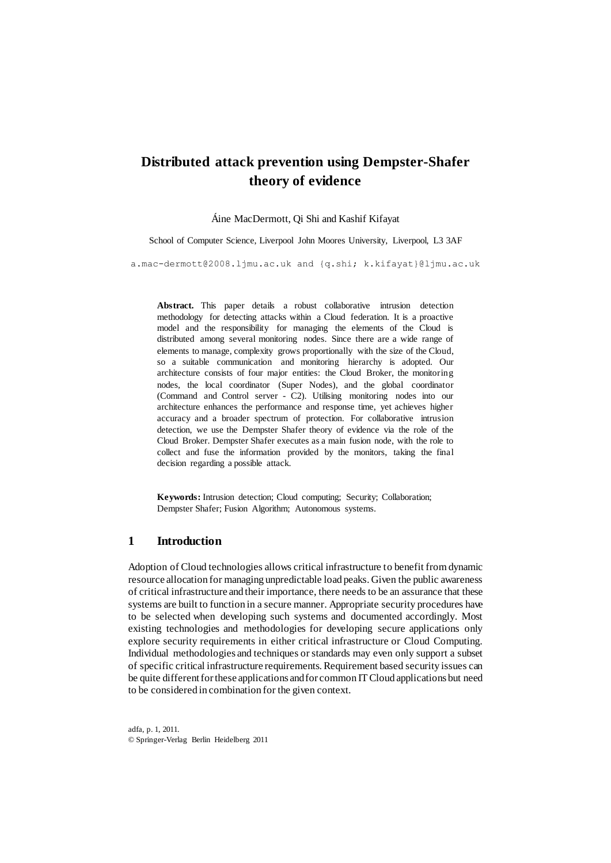# **Distributed attack prevention using Dempster-Shafer theory of evidence**

Áine MacDermott, Qi Shi and Kashif Kifayat

School of Computer Science, Liverpool John Moores University, Liverpool, L3 3AF

[a.mac-dermott@2008.ljmu.ac.uk](mailto:a.mac-dermott@2008.ljmu.ac.uk) and {q.shi; [k.kifayat}@ljmu.ac.uk](mailto:k.kifayat%7d@ljmu.ac.uk)

**Abstract.** This paper details a robust collaborative intrusion detection methodology for detecting attacks within a Cloud federation. It is a proactive model and the responsibility for managing the elements of the Cloud is distributed among several monitoring nodes. Since there are a wide range of elements to manage, complexity grows proportionally with the size of the Cloud, so a suitable communication and monitoring hierarchy is adopted. Our architecture consists of four major entities: the Cloud Broker, the monitoring nodes, the local coordinator (Super Nodes), and the global coordinator (Command and Control server - C2). Utilising monitoring nodes into our architecture enhances the performance and response time, yet achieves higher accuracy and a broader spectrum of protection. For collaborative intrusion detection, we use the Dempster Shafer theory of evidence via the role of the Cloud Broker. Dempster Shafer executes as a main fusion node, with the role to collect and fuse the information provided by the monitors, taking the final decision regarding a possible attack.

**Keywords:** Intrusion detection; Cloud computing; Security; Collaboration; Dempster Shafer; Fusion Algorithm; Autonomous systems.

### **1 Introduction**

Adoption of Cloud technologies allows critical infrastructure to benefit from dynamic resource allocation for managing unpredictable load peaks. Given the public awareness of critical infrastructure and their importance, there needs to be an assurance that these systems are built to function in a secure manner. Appropriate security procedures have to be selected when developing such systems and documented accordingly. Most existing technologies and methodologies for developing secure applications only explore security requirements in either critical infrastructure or Cloud Computing. Individual methodologies and techniques or standards may even only support a subset of specific critical infrastructure requirements. Requirement based security issues can be quite different for these applications and for common IT Cloud applications but need to be considered in combination for the given context.

adfa, p. 1, 2011. © Springer-Verlag Berlin Heidelberg 2011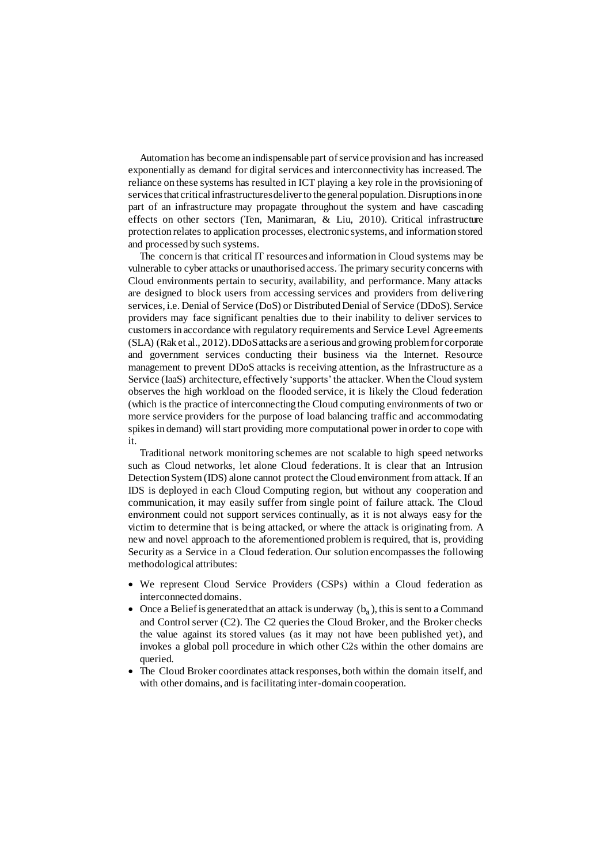Automation has become an indispensable part of service provision and has increased exponentially as demand for digital services and interconnectivity has increased. The reliance on these systems has resulted in ICT playing a key role in the provisioning of services that critical infrastructures deliver to the general population. Disruptions in one part of an infrastructure may propagate throughout the system and have cascading effects on other sectors (Ten, Manimaran, & Liu, 2010). Critical infrastructure protection relates to application processes, electronic systems, and information stored and processed by such systems.

The concern is that critical IT resources and information in Cloud systems may be vulnerable to cyber attacks or unauthorised access. The primary security concerns with Cloud environments pertain to security, availability, and performance. Many attacks are designed to block users from accessing services and providers from delivering services, i.e. Denial of Service (DoS) or Distributed Denial of Service (DDoS). Service providers may face significant penalties due to their inability to deliver services to customers in accordance with regulatory requirements and Service Level Agreements (SLA) (Rak et al., 2012). DDoS attacks are a serious and growing problem for corporate and government services conducting their business via the Internet. Resource management to prevent DDoS attacks is receiving attention, as the Infrastructure as a Service (IaaS) architecture, effectively 'supports' the attacker. When the Cloud system observes the high workload on the flooded service, it is likely the Cloud federation (which is the practice of interconnecting the Cloud computing environments of two or more service providers for the purpose of load balancing traffic and accommodating spikes in demand) will start providing more computational power in order to cope with it.

Traditional network monitoring schemes are not scalable to high speed networks such as Cloud networks, let alone Cloud federations. It is clear that an Intrusion Detection System (IDS) alone cannot protect the Cloud environment from attack. If an IDS is deployed in each Cloud Computing region, but without any cooperation and communication, it may easily suffer from single point of failure attack. The Cloud environment could not support services continually, as it is not always easy for the victim to determine that is being attacked, or where the attack is originating from. A new and novel approach to the aforementioned problem is required, that is, providing Security as a Service in a Cloud federation. Our solution encompasses the following methodological attributes:

- We represent Cloud Service Providers (CSPs) within a Cloud federation as interconnected domains.
- Once a Belief is generated that an attack is underway  $(b_a)$ , this is sent to a Command and Control server (C2). The C2 queries the Cloud Broker, and the Broker checks the value against its stored values (as it may not have been published yet), and invokes a global poll procedure in which other C2s within the other domains are queried.
- The Cloud Broker coordinates attack responses, both within the domain itself, and with other domains, and is facilitating inter-domain cooperation.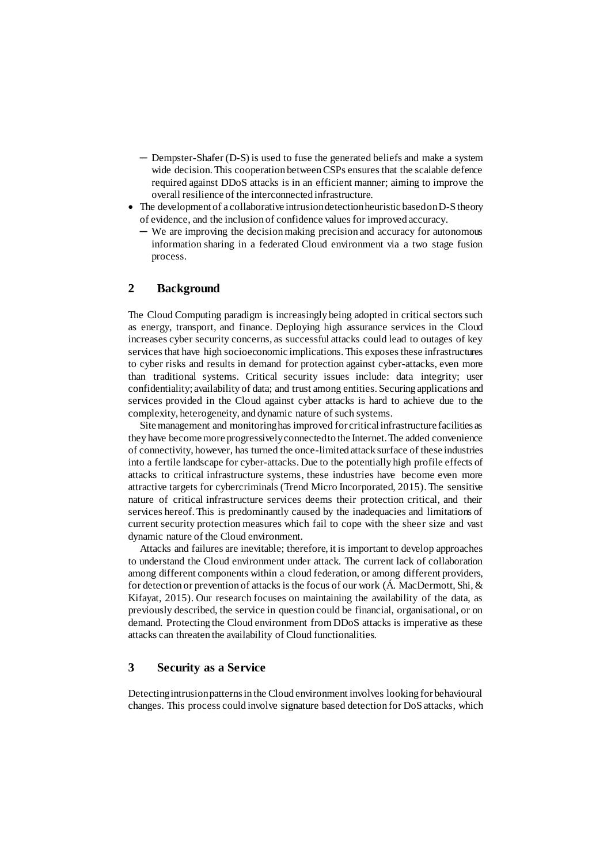- ─ Dempster-Shafer (D-S) is used to fuse the generated beliefs and make a system wide decision. This cooperation between CSPs ensures that the scalable defence required against DDoS attacks is in an efficient manner; aiming to improve the overall resilience of the interconnected infrastructure.
- The development of a collaborative intrusion detection heuristic based on D-S theory of evidence, and the inclusion of confidence values for improved accuracy.
	- We are improving the decision making precision and accuracy for autonomous information sharing in a federated Cloud environment via a two stage fusion process.

# **2 Background**

The Cloud Computing paradigm is increasingly being adopted in critical sectors such as energy, transport, and finance. Deploying high assurance services in the Cloud increases cyber security concerns, as successful attacks could lead to outages of key services that have high socioeconomic implications. This exposes these infrastructures to cyber risks and results in demand for protection against cyber-attacks, even more than traditional systems. Critical security issues include: data integrity; user confidentiality; availability of data; and trust among entities. Securing applications and services provided in the Cloud against cyber attacks is hard to achieve due to the complexity, heterogeneity, and dynamic nature of such systems.

Site management and monitoring has improved for critical infrastructure facilities as they have become more progressively connected to the Internet. The added convenience of connectivity, however, has turned the once-limited attack surface of these industries into a fertile landscape for cyber-attacks. Due to the potentially high profile effects of attacks to critical infrastructure systems, these industries have become even more attractive targets for cybercriminals (Trend Micro Incorporated, 2015). The sensitive nature of critical infrastructure services deems their protection critical, and their services hereof. This is predominantly caused by the inadequacies and limitations of current security protection measures which fail to cope with the sheer size and vast dynamic nature of the Cloud environment.

Attacks and failures are inevitable; therefore, it is important to develop approaches to understand the Cloud environment under attack. The current lack of collaboration among different components within a cloud federation, or among different providers, for detection or prevention of attacks is the focus of our work (A. MacDermott, Shi,  $\&$ Kifayat, 2015). Our research focuses on maintaining the availability of the data, as previously described, the service in question could be financial, organisational, or on demand. Protecting the Cloud environment from DDoS attacks is imperative as these attacks can threaten the availability of Cloud functionalities.

# **3 Security as a Service**

Detecting intrusion patterns in the Cloud environment involves looking for behavioural changes. This process could involve signature based detection for DoS attacks, which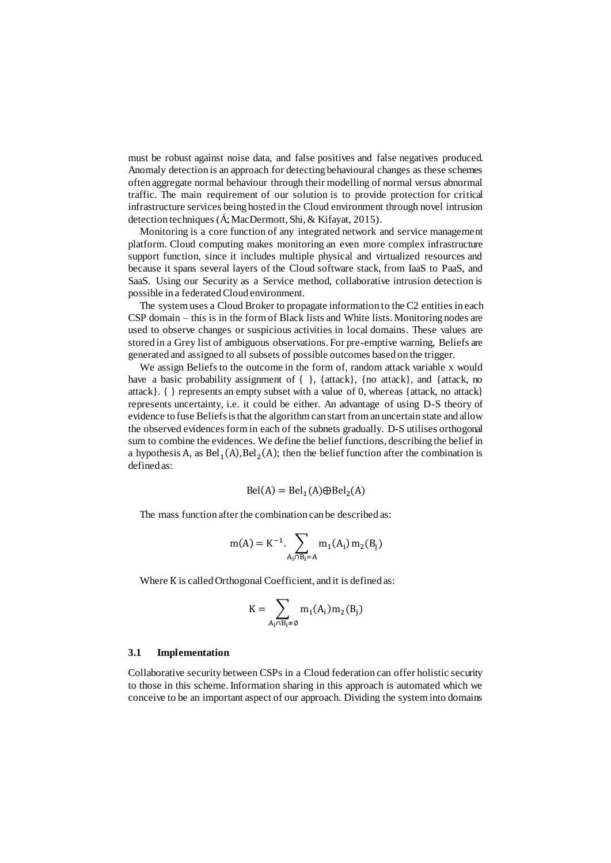must be robust against noise data, and false positives and false negatives produced. Anomaly detection is an approach for detecting behavioural changes as these schemes often aggregate normal behaviour through their modelling of normal versus abnormal traffic. The main requirement of our solution is to provide protection for critical infrastructure services being hosted in the Cloud environment through novel intrusion detection techniques (Á; MacDermott, Shi, & Kifayat, 2015).

Monitoring is a core function of any integrated network and service management platform. Cloud computing makes monitoring an even more complex infrastructure support function, since it includes multiple physical and virtualized resources and because it spans several layers of the Cloud software stack, from IaaS to PaaS, and SaaS. Using our Security as a Service method, collaborative intrusion detection is possible in a federated Cloud environment.

The system uses a Cloud Broker to propagate information to the C2 entities in each CSP domain – this is in the form of Black lists and White lists. Monitoring nodes are used to observe changes or suspicious activities in local domains. These values are stored in a Grey list of ambiguous observations. For pre-emptive warning, Beliefs are generated and assigned to all subsets of possible outcomes based on the trigger.

We assign Beliefs to the outcome in the form of, random attack variable x would have a basic probability assignment of  $\{\}$ , {attack}, {no attack}, and {attack, no attack}. { } represents an empty subset with a value of 0, whereas {attack, no attack} represents uncertainty, i.e. it could be either. An advantage of using D-S theory of evidence to fuse Beliefs is that the algorithm can start from an uncertain state and allow the observed evidences form in each of the subnets gradually. D-S utilises orthogonal sum to combine the evidences. We define the belief functions, describing the belief in a hypothesis A, as  $Bel_1(A), Bel_2(A)$ ; then the belief function after the combination is defined as:

$$
Bel(A) = Bel1(A) \oplus Bel2(A)
$$

The mass function after the combination can be described as:

$$
m(A) = K^{-1} \cdot \sum_{A_i \cap B_i = A} m_1(A_i) m_2(B_j)
$$

Where K is called Orthogonal Coefficient, and it is defined as:

$$
K = \sum_{A_i \cap B_i \neq \emptyset} m_1(A_i) m_2(B_j)
$$

#### **3.1 Implementation**

Collaborative security between CSPs in a Cloud federation can offer holistic security to those in this scheme. Information sharing in this approach is automated which we conceive to be an important aspect of our approach. Dividing the system into domains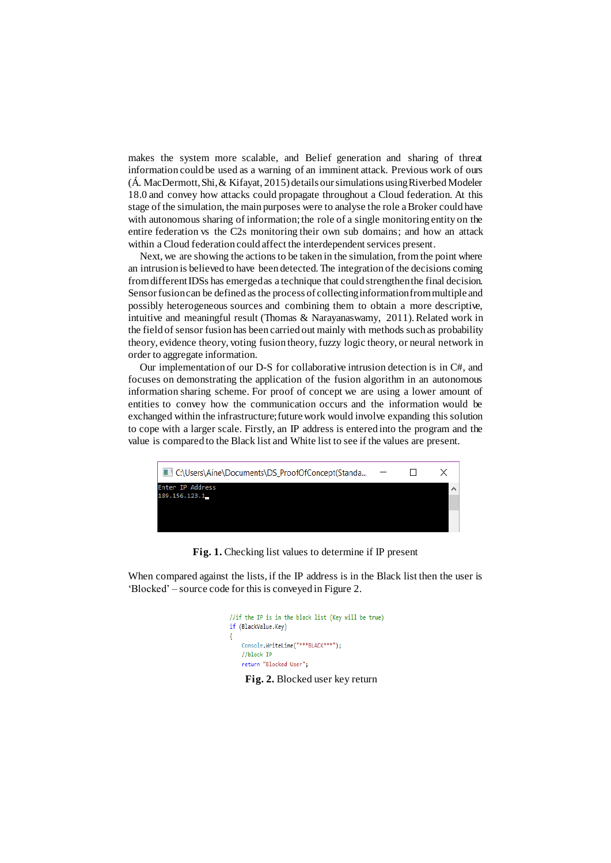makes the system more scalable, and Belief generation and sharing of threat information could be used as a warning of an imminent attack. Previous work of ours (Á. MacDermott, Shi, & Kifayat, 2015) details our simulations using Riverbed Modeler 18.0 and convey how attacks could propagate throughout a Cloud federation. At this stage of the simulation, the main purposes were to analyse the role a Broker could have with autonomous sharing of information; the role of a single monitoring entity on the entire federation vs the C2s monitoring their own sub domains; and how an attack within a Cloud federation could affect the interdependent services present.

Next, we are showing the actions to be taken in the simulation, from the point where an intrusion is believed to have been detected. The integration of the decisions coming from different IDSs has emerged as a technique that could strengthen the final decision. Sensor fusion can be defined as the process of collecting information from multiple and possibly heterogeneous sources and combining them to obtain a more descriptive, intuitive and meaningful result (Thomas & Narayanaswamy, 2011). Related work in the field of sensor fusion has been carried out mainly with methods such as probability theory, evidence theory, voting fusion theory, fuzzy logic theory, or neural network in order to aggregate information.

Our implementation of our D-S for collaborative intrusion detection is in C#, and focuses on demonstrating the application of the fusion algorithm in an autonomous information sharing scheme. For proof of concept we are using a lower amount of entities to convey how the communication occurs and the information would be exchanged within the infrastructure; future work would involve expanding this solution to cope with a larger scale. Firstly, an IP address is entered into the program and the value is compared to the Black list and White list to see if the values are present.

| C:\Users\Aine\Documents\DS_ProofOfConcept(Standa |  |  |
|--------------------------------------------------|--|--|
| Enter IP Address<br>189.156.123.1                |  |  |
|                                                  |  |  |

**Fig. 1.** Checking list values to determine if IP present

When compared against the lists, if the IP address is in the Black list then the user is 'Blocked' – source code for this is conveyed in Figure 2.



**Fig. 2.** Blocked user key return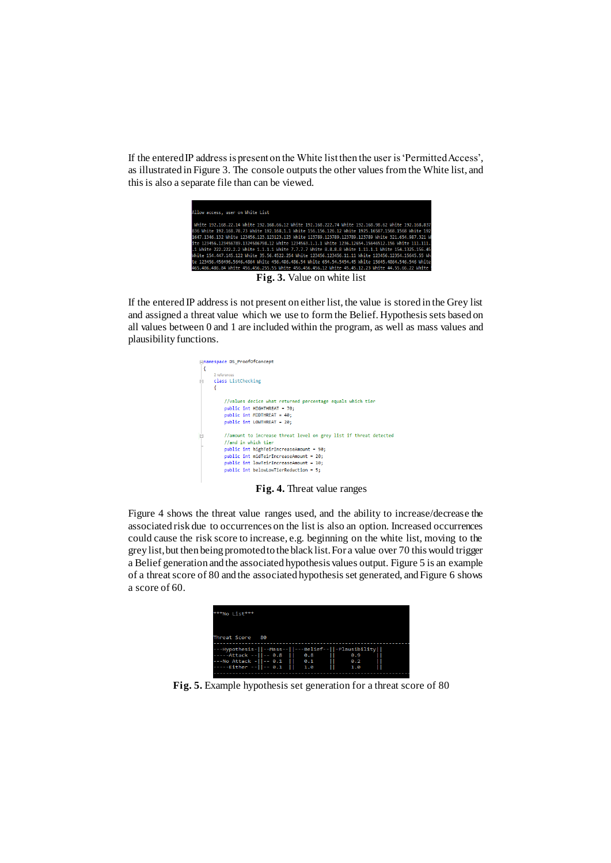If the enteredIP address is present on the White list then the user is 'Permitted Access', as illustrated in Figure 3. The console outputs the other values from the White list, and this is also a separate file than can be viewed.

| Allow access, user on White List                                                                    |
|-----------------------------------------------------------------------------------------------------|
|                                                                                                     |
| White 192.168.22.14 White 192.168.66.12 White 192.168.222.74 White 192.168.98.62 White 192.168.837  |
| 836 White 192.168.78.73 White 192.168.1.1 White 156.156.126.12 White 1925.16587.1568.1568 White 192 |
| 1647.1346.132 White 123456.123.123123.123 White 123789.123789.123789.123789 White 321.654.987.321 W |
| ite 123456.123456789.1324586798.12 White 1234563.1.1.1 White 1236.12654.15646512.156 White 111.111. |
| 1 White 222.222.2.2 White 1.1.1.1 White 7.7.7.7 White 8.8.8.8 White 1.11.1.1 White 154.1325.156.45. |
| White 154.447.145.122 White 35.56.4522.254 White 123456.123456.11.11 White 123456.12354.15645.55 Wh |
| te 123456.456496.5646.4864 White 456.486.486.54 White 654.54.5454.45 White 15645.4864.546.546 White |
| 465.486.486.84 White 456.456.255.55 White 456.456.456.12 White 45.45.12.23 White 44.55.66.22 White  |
|                                                                                                     |

**Fig. 3.** Value on white list

If the entered IP address is not present on either list, the value is stored in the Grey list and assigned a threat value which we use to form the Belief. Hypothesis sets based on all values between 0 and 1 are included within the program, as well as mass values and plausibility functions.



**Fig. 4.** Threat value ranges

Figure 4 shows the threat value ranges used, and the ability to increase/decrease the associated risk due to occurrences on the list is also an option. Increased occurrences could cause the risk score to increase, e.g. beginning on the white list, moving to the grey list, but then being promoted to the black list. For a value over 70 this would trigger a Belief generation and the associated hypothesis values output. Figure 5 is an example of a threat score of 80 and the associated hypothesis set generated, and Figure 6 shows a score of 60.

| ***No List***                                        |                  |     |
|------------------------------------------------------|------------------|-----|
|                                                      |                  |     |
| Threat Score<br>80                                   |                  |     |
| ---Hypothesis-  --Mass--  ---Belief--  -Plausibility |                  |     |
| -----Attack --  -- 0.8                               | $0.8$ $  $ $0.9$ | -11 |
| ---No Attack -  -- 0.1    0.1    0.2                 |                  |     |
| -----Either --  -- 0.1    1.0                        | $11 - 1.0$       |     |
|                                                      |                  |     |

**Fig. 5.** Example hypothesis set generation for a threat score of 80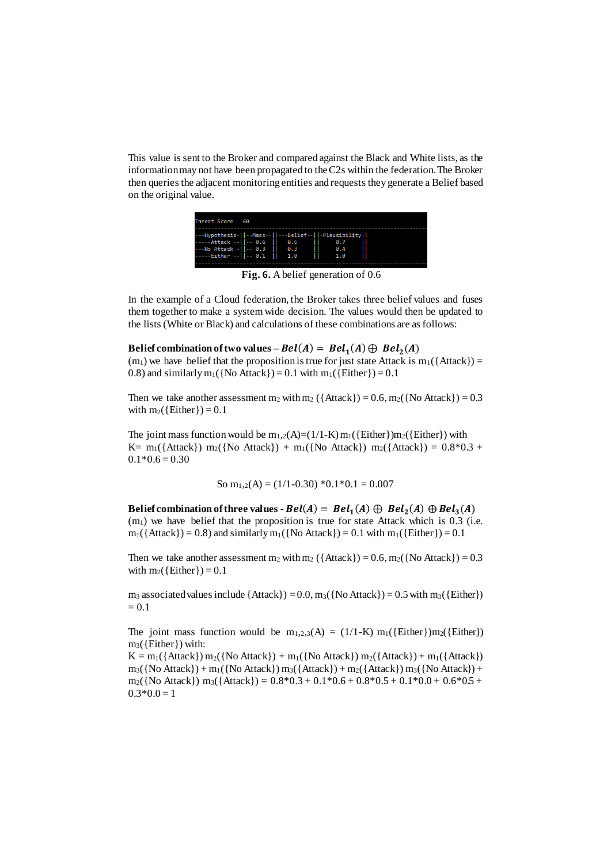This value is sent to the Broker and compared against the Black and White lists, as the information may not have been propagated to the C2s within the federation. The Broker then queries the adjacent monitoring entities and requests they generate a Belief based on the original value.

| Threat Score | - 60                                                                                                                                                  |               |            |  |  |
|--------------|-------------------------------------------------------------------------------------------------------------------------------------------------------|---------------|------------|--|--|
|              | ---Hypothesis-  --Mass--  ---Belief--  -Plausibility  <br>-----Attack --  -- 0.6   <br>---No Attack -  -- 0.3    0.3    0.4<br>-----Either --  -- 0.1 | 0.6<br>$-1.0$ | 0.7<br>1.9 |  |  |
|              |                                                                                                                                                       |               |            |  |  |

**Fig. 6.** A belief generation of 0.6

In the example of a Cloud federation, the Broker takes three belief values and fuses them together to make a system wide decision. The values would then be updated to the lists (White or Black) and calculations of these combinations are as follows:

Belief combination of two values –  $Bel(A) = Bel_1(A) \oplus Bel_2(A)$ 

 $(m_1)$  we have belief that the proposition is true for just state Attack is  $m_1({Attack}) =$ 0.8) and similarly  $m_1({No \text{ Attack}}) = 0.1$  with  $m_1({Either}) = 0.1$ 

Then we take another assessment m<sub>2</sub> with m<sub>2</sub> ({Attack}) =  $0.6$ , m<sub>2</sub>({No Attack}) =  $0.3$ with  $m_2$ ({Either}) = 0.1

The joint mass function would be  $m_{1,2}(A)=(1/1-K) m_1(\{Either\}) m_2(\{Either\})$  with K= m<sub>1</sub>({Attack}) m<sub>2</sub>({No Attack}) + m<sub>1</sub>({No Attack}) m<sub>2</sub>({Attack}) =  $0.8*0.3$  +  $0.1*0.6 = 0.30$ 

So 
$$
m_{1,2}(A) = (1/1-0.30) *0.1 *0.1 = 0.007
$$

Belief combination of three values -  $Bel(A) = Bel_1(A) \oplus Bel_2(A) \oplus Bel_3(A)$  $(m<sub>1</sub>)$  we have belief that the proposition is true for state Attack which is 0.3 (i.e.  $m_1({$ {Attack}) = 0.8) and similarly  $m_1({}$ {No Attack}) = 0.1 with  $m_1({}$ {Either}) = 0.1

Then we take another assessment m<sub>2</sub> with m<sub>2</sub> ({Attack}) =  $0.6$ , m<sub>2</sub>({No Attack}) =  $0.3$ with  $m_2({\text{Either}}) = 0.1$ 

 $m_3$  associated values include {Attack}) = 0.0,  $m_3({\text{No Attack}}) = 0.5$  with  $m_3({\text{Either}})$  $= 0.1$ 

The joint mass function would be  $m_{1,2,3}(A) = (1/1-K) m_1({\text{Either}})m_2({\text{Either}})$ m3({Either}) with:

 $K = m_1({$ {Attack}} $) m_2({$ {No Attack}} $) + m_1({$ {No Attack}} $) m_2({$ {Attack}} $) + m_1({$ {Attack}} $)$  $m_3({No Attack}) + m_1({No Attack}) m_3({Attack}) + m_2({Attack}) m_3({Not) +$ m<sub>2</sub>({No Attack}) m<sub>3</sub>({Attack}) =  $0.8*0.3 + 0.1*0.6 + 0.8*0.5 + 0.1*0.0 + 0.6*0.5 +$  $0.3*0.0 = 1$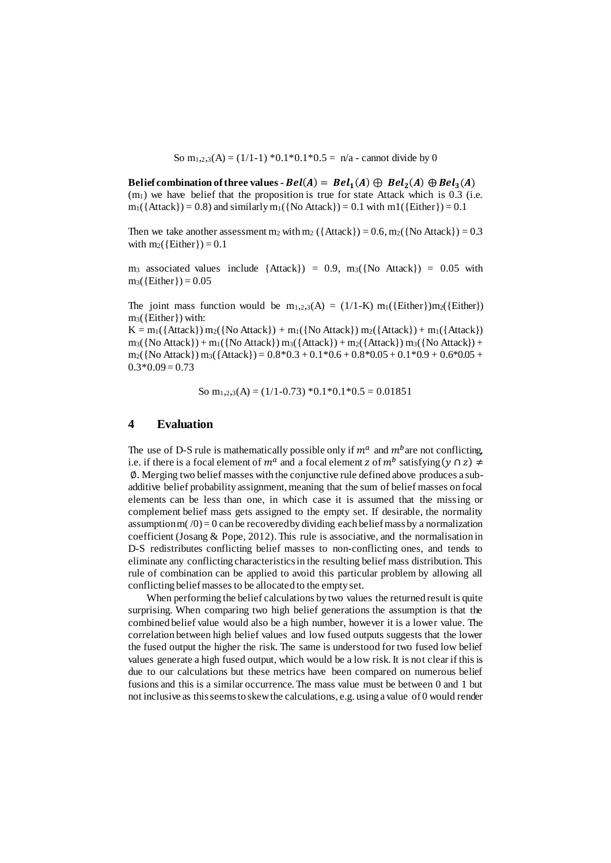So m<sub>1,2,3</sub>(A) = (1/1-1) \*0.1\*0.1\*0.5 = n/a - cannot divide by 0

Belief combination of three values -  $Bel(A) = Bel_1(A) \oplus Bel_2(A) \oplus Bel_3(A)$  $(m<sub>1</sub>)$  we have belief that the proposition is true for state Attack which is 0.3 (i.e.  $m_1({$ {Attack}) = 0.8) and similarly  $m_1({}$ {No Attack}) = 0.1 with  $m_1({}$ {Either}) = 0.1

Then we take another assessment m<sub>2</sub> with m<sub>2</sub> ( $\{Attack\}$ ) = 0.6, m<sub>2</sub>( $\{No Attack\}$ ) = 0.3 with  $m_2$ ({Either}) = 0.1

m<sub>3</sub> associated values include  $\{Attack\}$  = 0.9, m<sub>3</sub>( $\{No Attack\}$ ) = 0.05 with  $m_3({\text{Either}}) = 0.05$ 

The joint mass function would be  $m_{1,2,3}(A) = (1/1-K) m_1({\text{Either}})m_2({\text{Either}})$ m3({Either}) with:

 $K = m_1({$ {Attack}} $m_2({$ {No Attack}}) + m\_1({{No Attack}} $m_2({$ {Attack}}) + m\_1({{Attack}}) $m_3({No Attack}) + m_1({No Attack}) m_3({Attack}) + m_2({Attack}) m_3({Not}) +$  $m_2({No \text{ Attack}}) m_3({Attack}) = 0.8*0.3 + 0.1*0.6 + 0.8*0.05 + 0.1*0.9 + 0.6*0.05 +$  $0.3*0.09=0.73$ 

So m<sub>1,2,3</sub>(A) = 
$$
(1/1-0.73) *0.1 *0.1 *0.5 = 0.01851
$$

## **4 Evaluation**

The use of D-S rule is mathematically possible only if  $m^a$  and  $m^b$  are not conflicting, i.e. if there is a focal element of  $m^a$  and a focal element z of  $m^b$  satisfying  $(y \cap z) \neq$ ∅. Merging two belief masses with the conjunctive rule defined above produces a subadditive belief probability assignment, meaning that the sum of belief masses on focal elements can be less than one, in which case it is assumed that the missing or complement belief mass gets assigned to the empty set. If desirable, the normality assumption m( $/0$ ) = 0 can be recovered by dividing each belief mass by a normalization coefficient (Josang & Pope, 2012). This rule is associative, and the normalisation in D-S redistributes conflicting belief masses to non-conflicting ones, and tends to eliminate any conflicting characteristics in the resulting belief mass distribution. This rule of combination can be applied to avoid this particular problem by allowing all conflicting belief masses to be allocated to the empty set.

When performing the belief calculations by two values the returned result is quite surprising. When comparing two high belief generations the assumption is that the combined belief value would also be a high number, however it is a lower value. The correlation between high belief values and low fused outputs suggests that the lower the fused output the higher the risk. The same is understood for two fused low belief values generate a high fused output, which would be a low risk. It is not clear if this is due to our calculations but these metrics have been compared on numerous belief fusions and this is a similar occurrence. The mass value must be between 0 and 1 but not inclusive as this seems to skew the calculations, e.g. using a value of 0 would render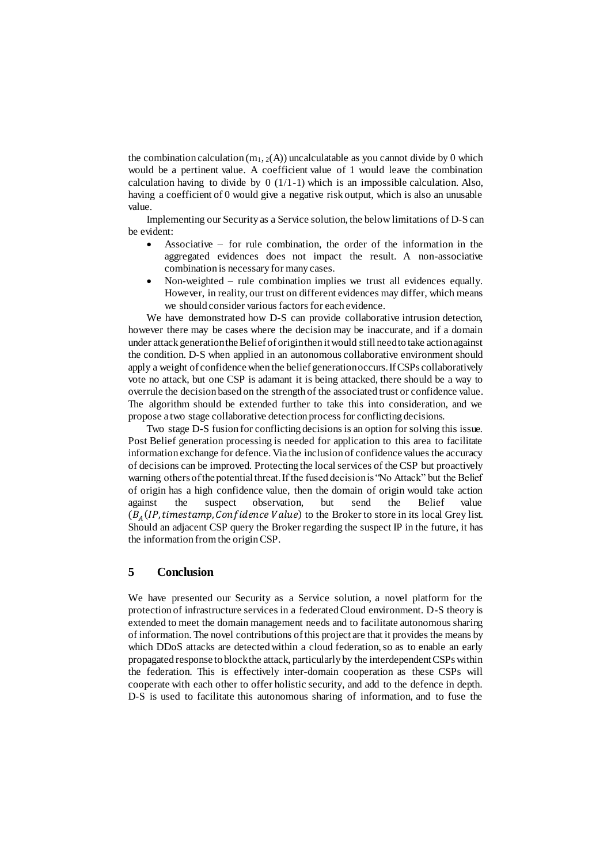the combination calculation  $(m_1, 2(A))$  uncalculatable as you cannot divide by 0 which would be a pertinent value. A coefficient value of 1 would leave the combination calculation having to divide by  $0$  (1/1-1) which is an impossible calculation. Also, having a coefficient of 0 would give a negative risk output, which is also an unusable value.

Implementing our Security as a Service solution, the below limitations of D-S can be evident:

- Associative for rule combination, the order of the information in the aggregated evidences does not impact the result. A non-associative combination is necessary for many cases.
- Non-weighted rule combination implies we trust all evidences equally. However, in reality, our trust on different evidences may differ, which means we should consider various factors for each evidence.

We have demonstrated how D-S can provide collaborative intrusion detection, however there may be cases where the decision may be inaccurate, and if a domain under attack generation the Belief of origin then it would still need to take action against the condition. D-S when applied in an autonomous collaborative environment should apply a weight of confidence when the belief generation occurs. If CSPs collaboratively vote no attack, but one CSP is adamant it is being attacked, there should be a way to overrule the decision based on the strength of the associated trust or confidence value. The algorithm should be extended further to take this into consideration, and we propose a two stage collaborative detection process for conflicting decisions.

Two stage D-S fusion for conflicting decisions is an option for solving this issue. Post Belief generation processing is needed for application to this area to facilitate information exchange for defence. Via the inclusion of confidence values the accuracy of decisions can be improved. Protecting the local services of the CSP but proactively warning others of the potential threat. If the fused decision is "No Attack" but the Belief of origin has a high confidence value, then the domain of origin would take action against the suspect observation, but send the Belief value  $(B<sub>A</sub>(IP, timestamp, Confidence Value)$  to the Broker to store in its local Grey list. Should an adjacent CSP query the Broker regarding the suspect IP in the future, it has the information from the origin CSP.

## **5 Conclusion**

We have presented our Security as a Service solution, a novel platform for the protection of infrastructure services in a federated Cloud environment. D-S theory is extended to meet the domain management needs and to facilitate autonomous sharing of information. The novel contributions of this project are that it provides the means by which DDoS attacks are detected within a cloud federation, so as to enable an early propagated response to block the attack, particularly by the interdependent CSPs within the federation. This is effectively inter-domain cooperation as these CSPs will cooperate with each other to offer holistic security, and add to the defence in depth. D-S is used to facilitate this autonomous sharing of information, and to fuse the